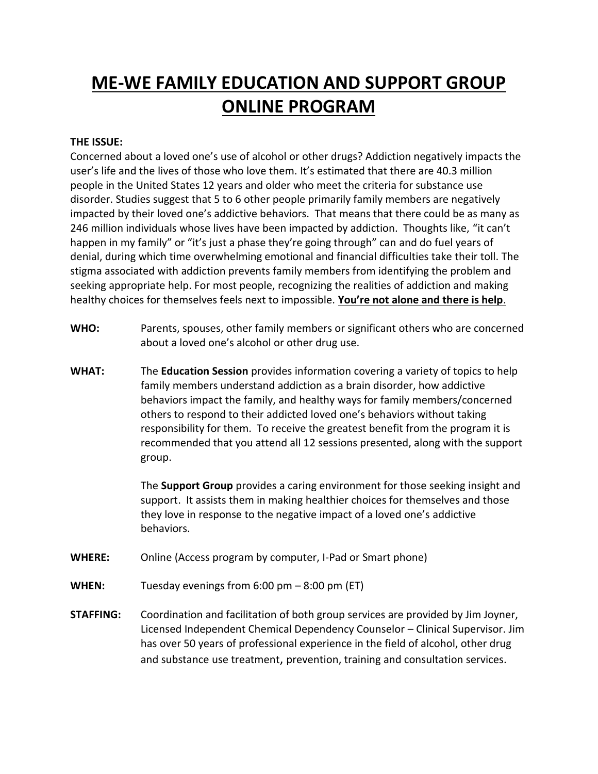## **ME-WE FAMILY EDUCATION AND SUPPORT GROUP ONLINE PROGRAM**

## **THE ISSUE:**

Concerned about a loved one's use of alcohol or other drugs? Addiction negatively impacts the user's life and the lives of those who love them. It's estimated that there are 40.3 million people in the United States 12 years and older who meet the criteria for substance use disorder. Studies suggest that 5 to 6 other people primarily family members are negatively impacted by their loved one's addictive behaviors. That means that there could be as many as 246 million individuals whose lives have been impacted by addiction. Thoughts like, "it can't happen in my family" or "it's just a phase they're going through" can and do fuel years of denial, during which time overwhelming emotional and financial difficulties take their toll. The stigma associated with addiction prevents family members from identifying the problem and seeking appropriate help. For most people, recognizing the realities of addiction and making healthy choices for themselves feels next to impossible. **You're not alone and there is help**.

- **WHO:** Parents, spouses, other family members or significant others who are concerned about a loved one's alcohol or other drug use.
- **WHAT:** The **Education Session** provides information covering a variety of topics to help family members understand addiction as a brain disorder, how addictive behaviors impact the family, and healthy ways for family members/concerned others to respond to their addicted loved one's behaviors without taking responsibility for them. To receive the greatest benefit from the program it is recommended that you attend all 12 sessions presented, along with the support group.

The **Support Group** provides a caring environment for those seeking insight and support. It assists them in making healthier choices for themselves and those they love in response to the negative impact of a loved one's addictive behaviors.

- **WHERE:** Online (Access program by computer, I-Pad or Smart phone)
- **WHEN:** Tuesday evenings from 6:00 pm 8:00 pm (ET)
- **STAFFING:** Coordination and facilitation of both group services are provided by Jim Joyner, Licensed Independent Chemical Dependency Counselor – Clinical Supervisor. Jim has over 50 years of professional experience in the field of alcohol, other drug and substance use treatment, prevention, training and consultation services.